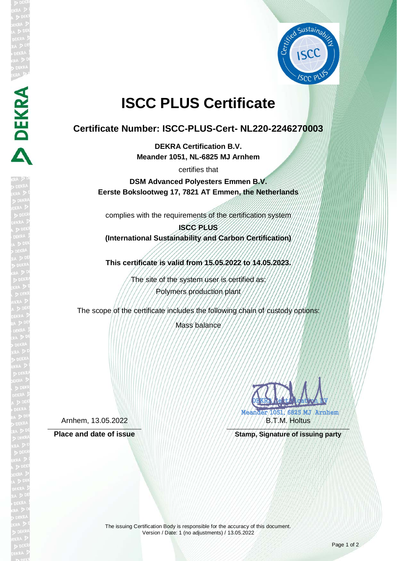

## **ISCC PLUS Certificate**

## **Certificate Number: ISCC-PLUS-Cert- NL220-2246270003**

**DEKRA Certification B.V. Meander 1051, NL-6825 MJ Arnhem**

certifies that

**DSM Advanced Polyesters Emmen B.V. Eerste Bokslootweg 17, 7821 AT Emmen, the Netherlands**

complies with the requirements of the certification system

**ISCC PLUS (International Sustainability and Carbon Certification)**

**This certificate is valid from 15.05.2022 to 14.05.2023.**

The site of the system user is certified as: Polymers production plant

The scope of the certificate includes the following chain of custody options:

Mass balance

Arnhem, 13.05.2022

**DEKRA** 

DEKRA **CERTIFICATION** Meander 1051, 6825 MJ Arnhem FRATA AA B.T.M. Holtus

Place and date of issue **Stamp, Stamp, Signature of issuing party** 

The issuing Certification Body is responsible for the accuracy of this document. Version / Date: 1 (no adjustments) / 13.05.2022